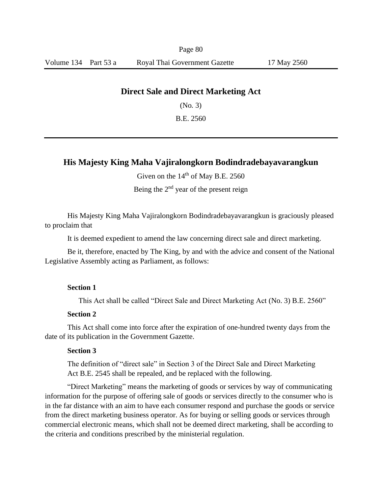Page 80

## **Direct Sale and Direct Marketing Act**

(No*.* 3)

B.E. 2560

# **His Majesty King Maha Vajiralongkorn Bodindradebayavarangkun**

Given on the  $14<sup>th</sup>$  of May B.E. 2560

Being the  $2<sup>nd</sup>$  year of the present reign

His Majesty King Maha Vajiralongkorn Bodindradebayavarangkun is graciously pleased to proclaim that

It is deemed expedient to amend the law concerning direct sale and direct marketing.

Be it, therefore, enacted by The King, by and with the advice and consent of the National Legislative Assembly acting as Parliament, as follows:

### **Section 1**

This Act shall be called "Direct Sale and Direct Marketing Act (No. 3) B.E. 2560"

#### **Section 2**

This Act shall come into force after the expiration of one-hundred twenty days from the date of its publication in the Government Gazette.

## **Section 3**

The definition of "direct sale" in Section 3 of the Direct Sale and Direct Marketing Act B.E. 2545 shall be repealed, and be replaced with the following.

"Direct Marketing" means the marketing of goods or services by way of communicating information for the purpose of offering sale of goods or services directly to the consumer who is in the far distance with an aim to have each consumer respond and purchase the goods or service from the direct marketing business operator. As for buying or selling goods or services through commercial electronic means, which shall not be deemed direct marketing, shall be according to the criteria and conditions prescribed by the ministerial regulation.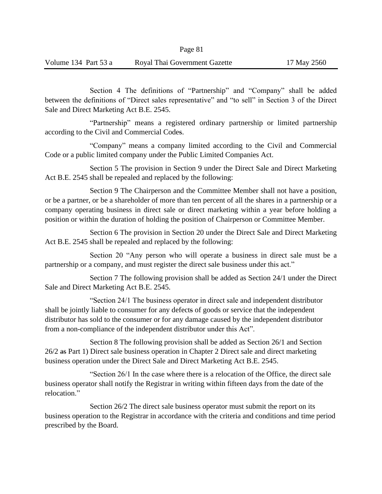Section 4 The definitions of "Partnership" and "Company" shall be added between the definitions of "Direct sales representative" and "to sell" in Section 3 of the Direct Sale and Direct Marketing Act B.E. 2545.

"Partnership" means a registered ordinary partnership or limited partnership according to the Civil and Commercial Codes.

"Company" means a company limited according to the Civil and Commercial Code or a public limited company under the Public Limited Companies Act.

Section 5 The provision in Section 9 under the Direct Sale and Direct Marketing Act B.E. 2545 shall be repealed and replaced by the following:

Section 9 The Chairperson and the Committee Member shall not have a position, or be a partner, or be a shareholder of more than ten percent of all the shares in a partnership or a company operating business in direct sale or direct marketing within a year before holding a position or within the duration of holding the position of Chairperson or Committee Member.

Section 6 The provision in Section 20 under the Direct Sale and Direct Marketing Act B.E. 2545 shall be repealed and replaced by the following:

Section 20 "Any person who will operate a business in direct sale must be a partnership or a company, and must register the direct sale business under this act."

Section 7 The following provision shall be added as Section 24/1 under the Direct Sale and Direct Marketing Act B.E. 2545.

"Section 24/1 The business operator in direct sale and independent distributor shall be jointly liable to consumer for any defects of goods or service that the independent distributor has sold to the consumer or for any damage caused by the independent distributor from a non-compliance of the independent distributor under this Act".

Section 8 The following provision shall be added as Section 26/1 and Section 26/2 as Part 1) Direct sale business operation in Chapter 2 Direct sale and direct marketing business operation under the Direct Sale and Direct Marketing Act B.E. 2545.

"Section 26/1 In the case where there is a relocation of the Office, the direct sale business operator shall notify the Registrar in writing within fifteen days from the date of the relocation."

Section 26/2 The direct sale business operator must submit the report on its business operation to the Registrar in accordance with the criteria and conditions and time period prescribed by the Board.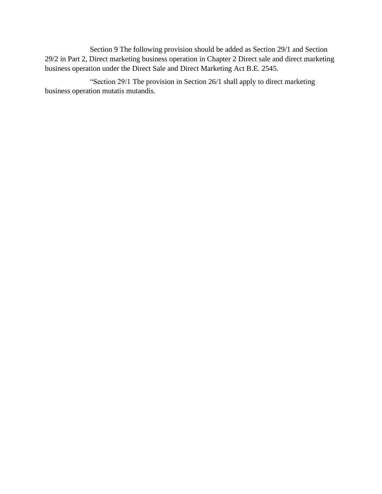Section 9 The following provision should be added as Section 29/1 and Section 29/2 in Part 2, Direct marketing business operation in Chapter 2 Direct sale and direct marketing business operation under the Direct Sale and Direct Marketing Act B.E. 2545.

"Section 29/1 The provision in Section 26/1 shall apply to direct marketing business operation mutatis mutandis.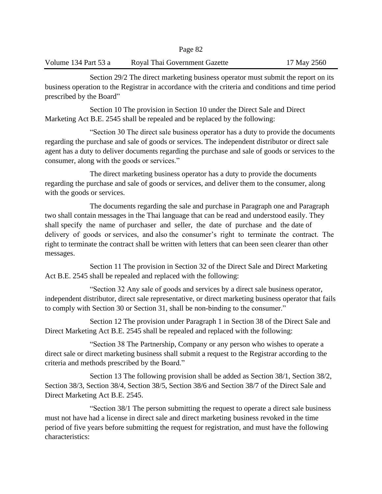## Volume 134 Part 53 a Royal Thai Government Gazette 17 May 2560

Section 29/2 The direct marketing business operator must submit the report on its business operation to the Registrar in accordance with the criteria and conditions and time period prescribed by the Board"

Section 10 The provision in Section 10 under the Direct Sale and Direct Marketing Act B.E. 2545 shall be repealed and be replaced by the following:

"Section 30 The direct sale business operator has a duty to provide the documents regarding the purchase and sale of goods or services. The independent distributor or direct sale agent has a duty to deliver documents regarding the purchase and sale of goods or services to the consumer, along with the goods or services."

The direct marketing business operator has a duty to provide the documents regarding the purchase and sale of goods or services, and deliver them to the consumer, along with the goods or services.

The documents regarding the sale and purchase in Paragraph one and Paragraph two shall contain messages in the Thai language that can be read and understood easily. They shall specify the name of purchaser and seller, the date of purchase and the date of delivery of goods or services, and also the consumer's right to terminate the contract. The right to terminate the contract shall be written with letters that can been seen clearer than other messages.

Section 11 The provision in Section 32 of the Direct Sale and Direct Marketing Act B.E. 2545 shall be repealed and replaced with the following:

"Section 32 Any sale of goods and services by a direct sale business operator, independent distributor, direct sale representative, or direct marketing business operator that fails to comply with Section 30 or Section 31, shall be non-binding to the consumer."

Section 12 The provision under Paragraph 1 in Section 38 of the Direct Sale and Direct Marketing Act B.E. 2545 shall be repealed and replaced with the following:

"Section 38 The Partnership, Company or any person who wishes to operate a direct sale or direct marketing business shall submit a request to the Registrar according to the criteria and methods prescribed by the Board."

Section 13 The following provision shall be added as Section 38/1, Section 38/2, Section 38/3, Section 38/4, Section 38/5, Section 38/6 and Section 38/7 of the Direct Sale and Direct Marketing Act B.E. 2545.

"Section 38/1 The person submitting the request to operate a direct sale business must not have had a license in direct sale and direct marketing business revoked in the time period of five years before submitting the request for registration, and must have the following characteristics: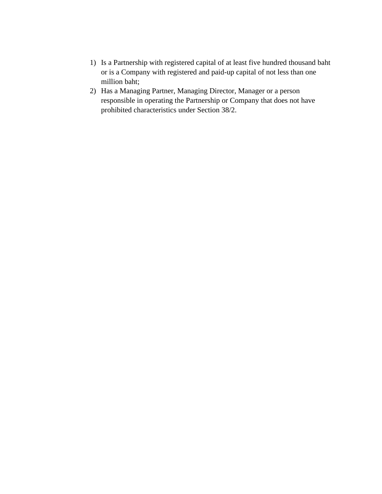- 1) Is a Partnership with registered capital of at least five hundred thousand baht or is a Company with registered and paid-up capital of not less than one million baht;
- 2) Has a Managing Partner, Managing Director, Manager or a person responsible in operating the Partnership or Company that does not have prohibited characteristics under Section 38/2.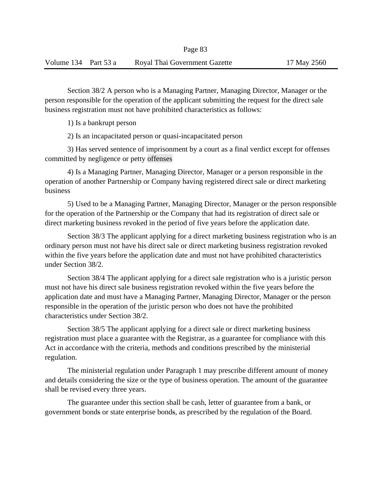Section 38/2 A person who is a Managing Partner, Managing Director, Manager or the person responsible for the operation of the applicant submitting the request for the direct sale business registration must not have prohibited characteristics as follows:

1) Is a bankrupt person

2) Is an incapacitated person or quasi-incapacitated person

3) Has served sentence of imprisonment by a court as a final verdict except for offenses committed by negligence or petty offenses

4) Is a Managing Partner, Managing Director, Manager or a person responsible in the operation of another Partnership or Company having registered direct sale or direct marketing business

5) Used to be a Managing Partner, Managing Director, Manager or the person responsible for the operation of the Partnership or the Company that had its registration of direct sale or direct marketing business revoked in the period of five years before the application date.

Section 38/3 The applicant applying for a direct marketing business registration who is an ordinary person must not have his direct sale or direct marketing business registration revoked within the five years before the application date and must not have prohibited characteristics under Section 38/2.

Section 38/4 The applicant applying for a direct sale registration who is a juristic person must not have his direct sale business registration revoked within the five years before the application date and must have a Managing Partner, Managing Director, Manager or the person responsible in the operation of the juristic person who does not have the prohibited characteristics under Section 38/2.

Section 38/5 The applicant applying for a direct sale or direct marketing business registration must place a guarantee with the Registrar, as a guarantee for compliance with this Act in accordance with the criteria, methods and conditions prescribed by the ministerial regulation.

The ministerial regulation under Paragraph 1 may prescribe different amount of money and details considering the size or the type of business operation. The amount of the guarantee shall be revised every three years.

The guarantee under this section shall be cash, letter of guarantee from a bank, or government bonds or state enterprise bonds, as prescribed by the regulation of the Board.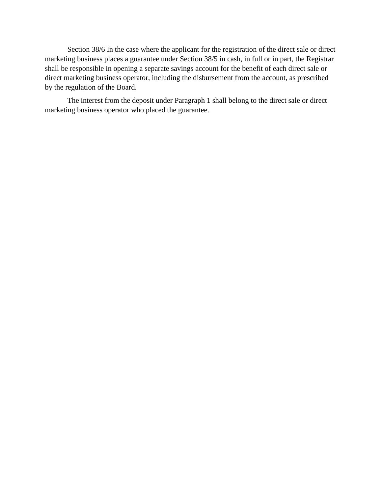Section 38/6 In the case where the applicant for the registration of the direct sale or direct marketing business places a guarantee under Section 38/5 in cash, in full or in part, the Registrar shall be responsible in opening a separate savings account for the benefit of each direct sale or direct marketing business operator, including the disbursement from the account, as prescribed by the regulation of the Board.

The interest from the deposit under Paragraph 1 shall belong to the direct sale or direct marketing business operator who placed the guarantee.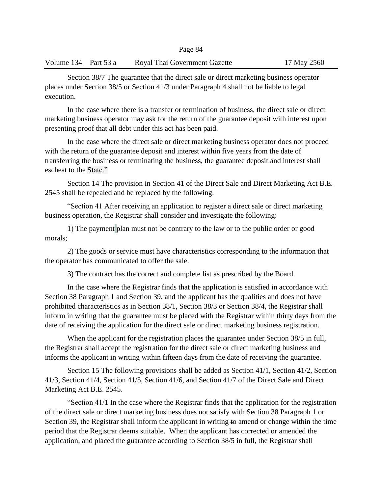### Volume 134 Part 53 a Royal Thai Government Gazette 17 May 2560

Section 38/7 The guarantee that the direct sale or direct marketing business operator places under Section 38/5 or Section 41/3 under Paragraph 4 shall not be liable to legal execution.

In the case where there is a transfer or termination of business, the direct sale or direct marketing business operator may ask for the return of the guarantee deposit with interest upon presenting proof that all debt under this act has been paid.

In the case where the direct sale or direct marketing business operator does not proceed with the return of the guarantee deposit and interest within five years from the date of transferring the business or terminating the business, the guarantee deposit and interest shall escheat to the State."

Section 14 The provision in Section 41 of the Direct Sale and Direct Marketing Act B.E. 2545 shall be repealed and be replaced by the following.

"Section 41 After receiving an application to register a direct sale or direct marketing business operation, the Registrar shall consider and investigate the following:

1) The payment plan must not be contrary to the law or to the public order or good morals;

2) The goods or service must have characteristics corresponding to the information that the operator has communicated to offer the sale.

3) The contract has the correct and complete list as prescribed by the Board.

In the case where the Registrar finds that the application is satisfied in accordance with Section 38 Paragraph 1 and Section 39, and the applicant has the qualities and does not have prohibited characteristics as in Section 38/1, Section 38/3 or Section 38/4, the Registrar shall inform in writing that the guarantee must be placed with the Registrar within thirty days from the date of receiving the application for the direct sale or direct marketing business registration.

When the applicant for the registration places the guarantee under Section 38/5 in full, the Registrar shall accept the registration for the direct sale or direct marketing business and informs the applicant in writing within fifteen days from the date of receiving the guarantee.

Section 15 The following provisions shall be added as Section 41/1, Section 41/2, Section 41/3, Section 41/4, Section 41/5, Section 41/6, and Section 41/7 of the Direct Sale and Direct Marketing Act B.E. 2545.

"Section 41/1 In the case where the Registrar finds that the application for the registration of the direct sale or direct marketing business does not satisfy with Section 38 Paragraph 1 or Section 39, the Registrar shall inform the applicant in writing to amend or change within the time period that the Registrar deems suitable. When the applicant has corrected or amended the application, and placed the guarantee according to Section 38/5 in full, the Registrar shall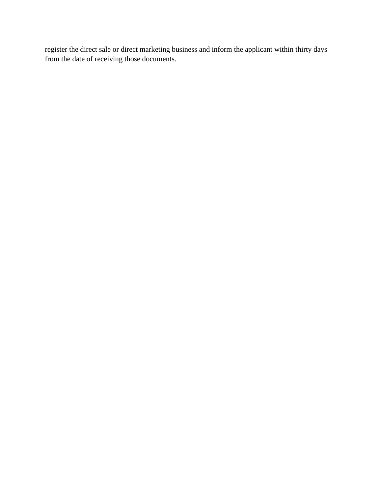register the direct sale or direct marketing business and inform the applicant within thirty days from the date of receiving those documents.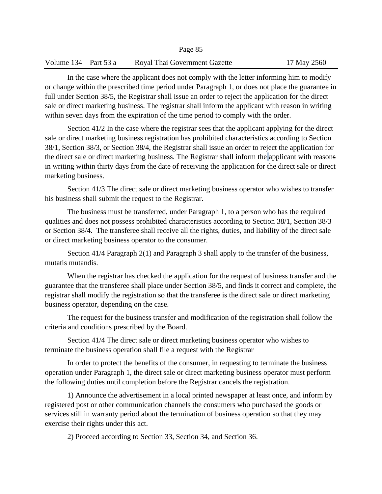|                      | Page 85                       |             |
|----------------------|-------------------------------|-------------|
| Volume 134 Part 53 a | Royal Thai Government Gazette | 17 May 2560 |
|                      |                               |             |

 $P^2 = 85$ 

In the case where the applicant does not comply with the letter informing him to modify or change within the prescribed time period under Paragraph 1, or does not place the guarantee in full under Section 38/5, the Registrar shall issue an order to reject the application for the direct sale or direct marketing business. The registrar shall inform the applicant with reason in writing within seven days from the expiration of the time period to comply with the order.

Section 41/2 In the case where the registrar sees that the applicant applying for the direct sale or direct marketing business registration has prohibited characteristics according to Section 38/1, Section 38/3, or Section 38/4, the Registrar shall issue an order to reject the application for the direct sale or direct marketing business. The Registrar shall inform the applicant with reasons in writing within thirty days from the date of receiving the application for the direct sale or direct marketing business.

Section 41/3 The direct sale or direct marketing business operator who wishes to transfer his business shall submit the request to the Registrar.

The business must be transferred, under Paragraph 1, to a person who has the required qualities and does not possess prohibited characteristics according to Section 38/1, Section 38/3 or Section 38/4. The transferee shall receive all the rights, duties, and liability of the direct sale or direct marketing business operator to the consumer.

Section 41/4 Paragraph 2(1) and Paragraph 3 shall apply to the transfer of the business, mutatis mutandis.

When the registrar has checked the application for the request of business transfer and the guarantee that the transferee shall place under Section 38/5, and finds it correct and complete, the registrar shall modify the registration so that the transferee is the direct sale or direct marketing business operator, depending on the case.

The request for the business transfer and modification of the registration shall follow the criteria and conditions prescribed by the Board.

Section 41/4 The direct sale or direct marketing business operator who wishes to terminate the business operation shall file a request with the Registrar

In order to protect the benefits of the consumer, in requesting to terminate the business operation under Paragraph 1, the direct sale or direct marketing business operator must perform the following duties until completion before the Registrar cancels the registration.

1) Announce the advertisement in a local printed newspaper at least once, and inform by registered post or other communication channels the consumers who purchased the goods or services still in warranty period about the termination of business operation so that they may exercise their rights under this act.

2) Proceed according to Section 33, Section 34, and Section 36.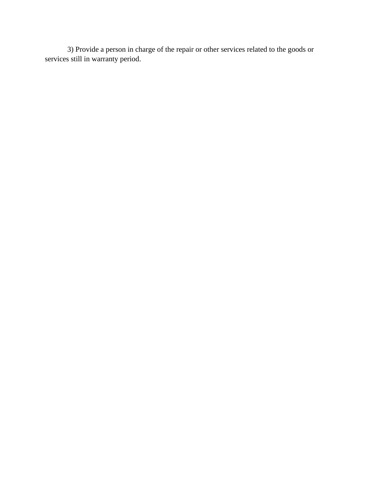3) Provide a person in charge of the repair or other services related to the goods or services still in warranty period.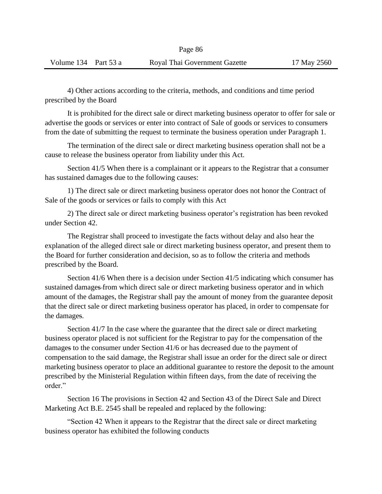4) Other actions according to the criteria, methods, and conditions and time period prescribed by the Board

It is prohibited for the direct sale or direct marketing business operator to offer for sale or advertise the goods or services or enter into contract of Sale of goods or services to consumers from the date of submitting the request to terminate the business operation under Paragraph 1.

The termination of the direct sale or direct marketing business operation shall not be a cause to release the business operator from liability under this Act.

Section 41/5 When there is a complainant or it appears to the Registrar that a consumer has sustained damages due to the following causes:

1) The direct sale or direct marketing business operator does not honor the Contract of Sale of the goods or services or fails to comply with this Act

2) The direct sale or direct marketing business operator's registration has been revoked under Section 42.

The Registrar shall proceed to investigate the facts without delay and also hear the explanation of the alleged direct sale or direct marketing business operator, and present them to the Board for further consideration and decision, so as to follow the criteria and methods prescribed by the Board.

Section 41/6 When there is a decision under Section 41/5 indicating which consumer has sustained damages from which direct sale or direct marketing business operator and in which amount of the damages, the Registrar shall pay the amount of money from the guarantee deposit that the direct sale or direct marketing business operator has placed, in order to compensate for the damages.

Section 41/7 In the case where the guarantee that the direct sale or direct marketing business operator placed is not sufficient for the Registrar to pay for the compensation of the damages to the consumer under Section 41/6 or has decreased due to the payment of compensation to the said damage, the Registrar shall issue an order for the direct sale or direct marketing business operator to place an additional guarantee to restore the deposit to the amount prescribed by the Ministerial Regulation within fifteen days, from the date of receiving the order."

Section 16 The provisions in Section 42 and Section 43 of the Direct Sale and Direct Marketing Act B.E. 2545 shall be repealed and replaced by the following:

"Section 42 When it appears to the Registrar that the direct sale or direct marketing business operator has exhibited the following conducts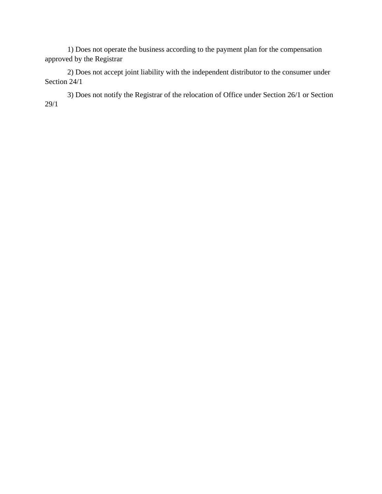1) Does not operate the business according to the payment plan for the compensation approved by the Registrar

2) Does not accept joint liability with the independent distributor to the consumer under Section 24/1

3) Does not notify the Registrar of the relocation of Office under Section 26/1 or Section 29/1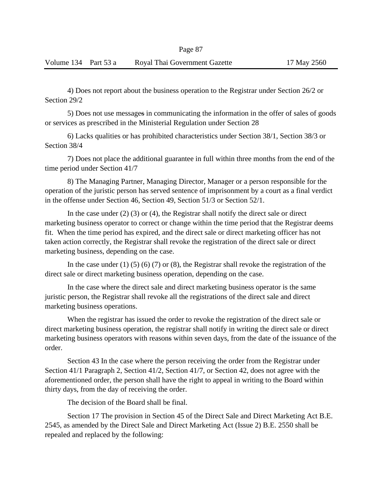4) Does not report about the business operation to the Registrar under Section 26/2 or Section 29/2

5) Does not use messages in communicating the information in the offer of sales of goods or services as prescribed in the Ministerial Regulation under Section 28

6) Lacks qualities or has prohibited characteristics under Section 38/1, Section 38/3 or Section 38/4

7) Does not place the additional guarantee in full within three months from the end of the time period under Section 41/7

8) The Managing Partner, Managing Director, Manager or a person responsible for the operation of the juristic person has served sentence of imprisonment by a court as a final verdict in the offense under Section 46, Section 49, Section 51/3 or Section 52/1.

In the case under (2) (3) or (4), the Registrar shall notify the direct sale or direct marketing business operator to correct or change within the time period that the Registrar deems fit. When the time period has expired, and the direct sale or direct marketing officer has not taken action correctly, the Registrar shall revoke the registration of the direct sale or direct marketing business, depending on the case.

In the case under (1) (5) (6) (7) or (8), the Registrar shall revoke the registration of the direct sale or direct marketing business operation, depending on the case.

In the case where the direct sale and direct marketing business operator is the same juristic person, the Registrar shall revoke all the registrations of the direct sale and direct marketing business operations.

When the registrar has issued the order to revoke the registration of the direct sale or direct marketing business operation, the registrar shall notify in writing the direct sale or direct marketing business operators with reasons within seven days, from the date of the issuance of the order.

Section 43 In the case where the person receiving the order from the Registrar under Section 41/1 Paragraph 2, Section 41/2, Section 41/7, or Section 42, does not agree with the aforementioned order, the person shall have the right to appeal in writing to the Board within thirty days, from the day of receiving the order.

The decision of the Board shall be final.

Section 17 The provision in Section 45 of the Direct Sale and Direct Marketing Act B.E. 2545, as amended by the Direct Sale and Direct Marketing Act (Issue 2) B.E. 2550 shall be repealed and replaced by the following: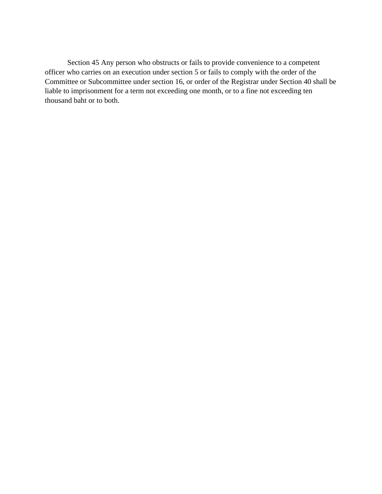Section 45 Any person who obstructs or fails to provide convenience to a competent officer who carries on an execution under section 5 or fails to comply with the order of the Committee or Subcommittee under section 16, or order of the Registrar under Section 40 shall be liable to imprisonment for a term not exceeding one month, or to a fine not exceeding ten thousand baht or to both.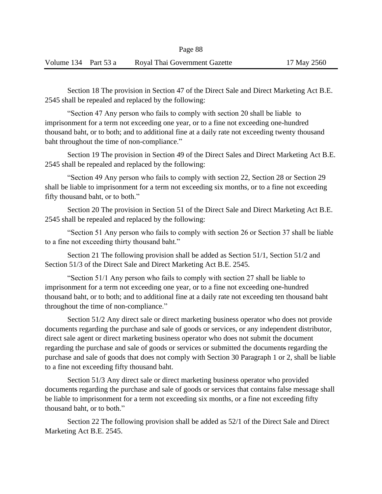Section 18 The provision in Section 47 of the Direct Sale and Direct Marketing Act B.E. 2545 shall be repealed and replaced by the following:

"Section 47 Any person who fails to comply with section 20 shall be liable to imprisonment for a term not exceeding one year, or to a fine not exceeding one-hundred thousand baht, or to both; and to additional fine at a daily rate not exceeding twenty thousand baht throughout the time of non-compliance."

Section 19 The provision in Section 49 of the Direct Sales and Direct Marketing Act B.E. 2545 shall be repealed and replaced by the following:

"Section 49 Any person who fails to comply with section 22, Section 28 or Section 29 shall be liable to imprisonment for a term not exceeding six months, or to a fine not exceeding fifty thousand baht, or to both."

Section 20 The provision in Section 51 of the Direct Sale and Direct Marketing Act B.E. 2545 shall be repealed and replaced by the following:

"Section 51 Any person who fails to comply with section 26 or Section 37 shall be liable to a fine not exceeding thirty thousand baht."

Section 21 The following provision shall be added as Section 51/1, Section 51/2 and Section 51/3 of the Direct Sale and Direct Marketing Act B.E. 2545.

"Section 51/1 Any person who fails to comply with section 27 shall be liable to imprisonment for a term not exceeding one year, or to a fine not exceeding one-hundred thousand baht, or to both; and to additional fine at a daily rate not exceeding ten thousand baht throughout the time of non-compliance."

Section 51/2 Any direct sale or direct marketing business operator who does not provide documents regarding the purchase and sale of goods or services, or any independent distributor, direct sale agent or direct marketing business operator who does not submit the document regarding the purchase and sale of goods or services or submitted the documents regarding the purchase and sale of goods that does not comply with Section 30 Paragraph 1 or 2, shall be liable to a fine not exceeding fifty thousand baht.

Section 51/3 Any direct sale or direct marketing business operator who provided documents regarding the purchase and sale of goods or services that contains false message shall be liable to imprisonment for a term not exceeding six months, or a fine not exceeding fifty thousand baht, or to both."

Section 22 The following provision shall be added as 52/1 of the Direct Sale and Direct Marketing Act B.E. 2545.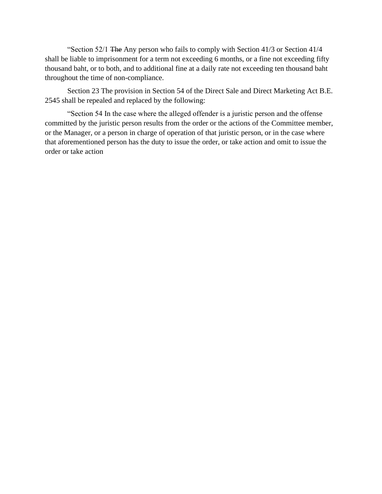"Section 52/1 The Any person who fails to comply with Section 41/3 or Section 41/4 shall be liable to imprisonment for a term not exceeding 6 months, or a fine not exceeding fifty thousand baht, or to both, and to additional fine at a daily rate not exceeding ten thousand baht throughout the time of non-compliance.

Section 23 The provision in Section 54 of the Direct Sale and Direct Marketing Act B.E. 2545 shall be repealed and replaced by the following:

"Section 54 In the case where the alleged offender is a juristic person and the offense committed by the juristic person results from the order or the actions of the Committee member, or the Manager, or a person in charge of operation of that juristic person, or in the case where that aforementioned person has the duty to issue the order, or take action and omit to issue the order or take action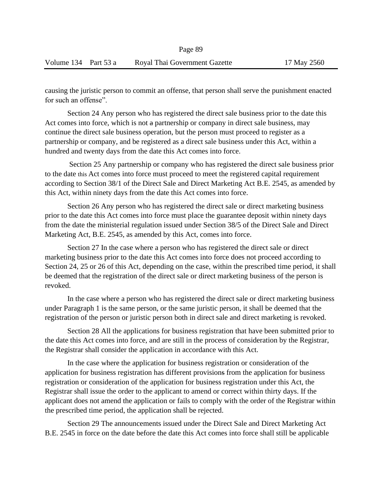causing the juristic person to commit an offense, that person shall serve the punishment enacted for such an offense".

Section 24 Any person who has registered the direct sale business prior to the date this Act comes into force, which is not a partnership or company in direct sale business, may continue the direct sale business operation, but the person must proceed to register as a partnership or company, and be registered as a direct sale business under this Act, within a hundred and twenty days from the date this Act comes into force.

Section 25 Any partnership or company who has registered the direct sale business prior to the date this Act comes into force must proceed to meet the registered capital requirement according to Section 38/1 of the Direct Sale and Direct Marketing Act B.E. 2545, as amended by this Act, within ninety days from the date this Act comes into force.

Section 26 Any person who has registered the direct sale or direct marketing business prior to the date this Act comes into force must place the guarantee deposit within ninety days from the date the ministerial regulation issued under Section 38/5 of the Direct Sale and Direct Marketing Act, B.E. 2545, as amended by this Act, comes into force.

Section 27 In the case where a person who has registered the direct sale or direct marketing business prior to the date this Act comes into force does not proceed according to Section 24, 25 or 26 of this Act, depending on the case, within the prescribed time period, it shall be deemed that the registration of the direct sale or direct marketing business of the person is revoked.

In the case where a person who has registered the direct sale or direct marketing business under Paragraph 1 is the same person, or the same juristic person, it shall be deemed that the registration of the person or juristic person both in direct sale and direct marketing is revoked.

Section 28 All the applications for business registration that have been submitted prior to the date this Act comes into force, and are still in the process of consideration by the Registrar, the Registrar shall consider the application in accordance with this Act.

In the case where the application for business registration or consideration of the application for business registration has different provisions from the application for business registration or consideration of the application for business registration under this Act, the Registrar shall issue the order to the applicant to amend or correct within thirty days. If the applicant does not amend the application or fails to comply with the order of the Registrar within the prescribed time period, the application shall be rejected.

Section 29 The announcements issued under the Direct Sale and Direct Marketing Act B.E. 2545 in force on the date before the date this Act comes into force shall still be applicable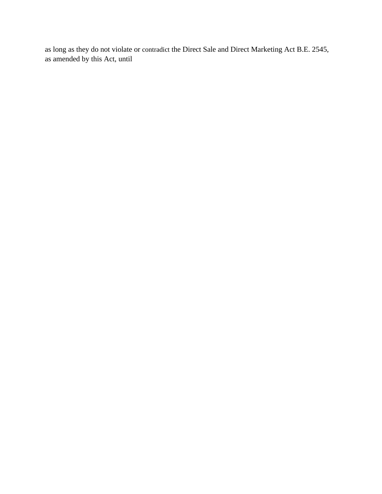as long as they do not violate or contradict the Direct Sale and Direct Marketing Act B.E. 2545, as amended by this Act, until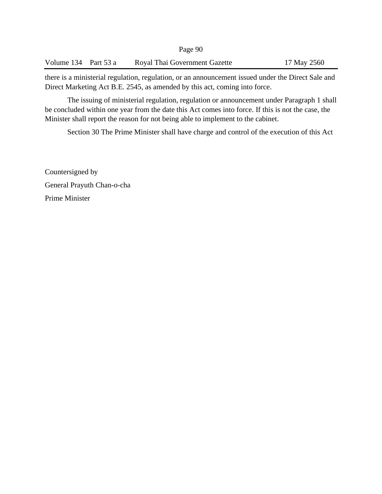Volume 134 Part 53 a Royal Thai Government Gazette 17 May 2560

there is a ministerial regulation, regulation, or an announcement issued under the Direct Sale and Direct Marketing Act B.E. 2545, as amended by this act, coming into force.

The issuing of ministerial regulation, regulation or announcement under Paragraph 1 shall be concluded within one year from the date this Act comes into force. If this is not the case, the Minister shall report the reason for not being able to implement to the cabinet.

Section 30 The Prime Minister shall have charge and control of the execution of this Act

Countersigned by General Prayuth Chan-o-cha Prime Minister